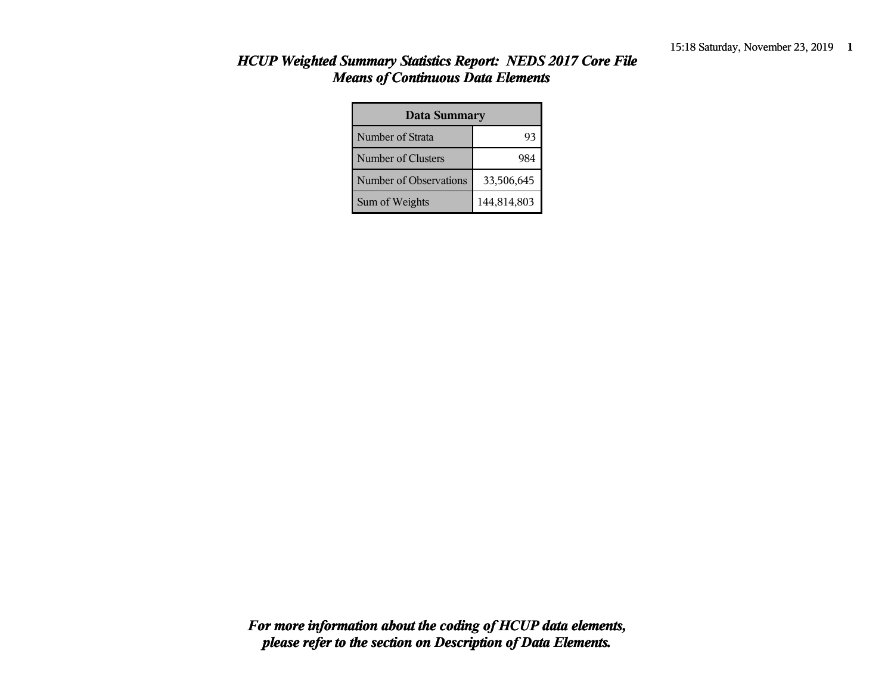#### *HCUP Weighted Summary Statistics Report: NEDS 2017 Core File Means of Continuous Data Elements*

| Data Summary           |             |  |  |
|------------------------|-------------|--|--|
| Number of Strata       | 93          |  |  |
| Number of Clusters     | 984         |  |  |
| Number of Observations | 33,506,645  |  |  |
| Sum of Weights         | 144,814,803 |  |  |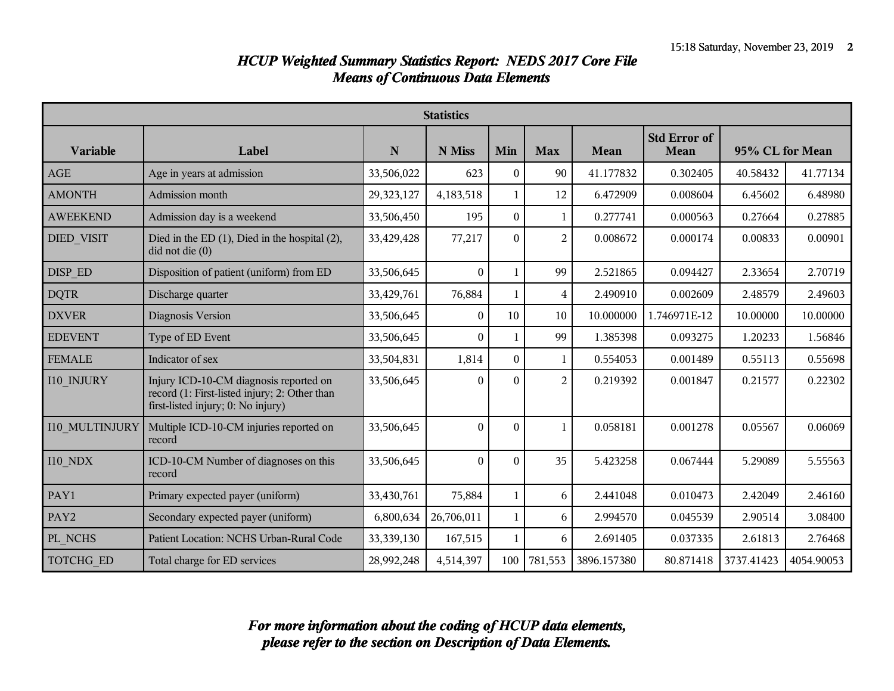#### *HCUP Weighted Summary Statistics Report: NEDS 2017 Core File Means of Continuous Data Elements*

| <b>Statistics</b>     |                                                                                                                               |             |              |                |                         |             |                             |                 |            |
|-----------------------|-------------------------------------------------------------------------------------------------------------------------------|-------------|--------------|----------------|-------------------------|-------------|-----------------------------|-----------------|------------|
| <b>Variable</b>       | Label                                                                                                                         | $\mathbf N$ | N Miss       | Min            | <b>Max</b>              | Mean        | <b>Std Error of</b><br>Mean | 95% CL for Mean |            |
| <b>AGE</b>            | Age in years at admission                                                                                                     | 33,506,022  | 623          | $\Omega$       | 90                      | 41.177832   | 0.302405                    | 40.58432        | 41.77134   |
| <b>AMONTH</b>         | Admission month                                                                                                               | 29,323,127  | 4,183,518    | 1              | 12                      | 6.472909    | 0.008604                    | 6.45602         | 6.48980    |
| <b>AWEEKEND</b>       | Admission day is a weekend                                                                                                    | 33,506,450  | 195          | $\Omega$       | 1                       | 0.277741    | 0.000563                    | 0.27664         | 0.27885    |
| <b>DIED VISIT</b>     | Died in the ED $(1)$ , Died in the hospital $(2)$ ,<br>did not die (0)                                                        | 33,429,428  | 77,217       | $\overline{0}$ | $\overline{2}$          | 0.008672    | 0.000174                    | 0.00833         | 0.00901    |
| DISP ED               | Disposition of patient (uniform) from ED                                                                                      | 33,506,645  | $\theta$     | 1              | 99                      | 2.521865    | 0.094427                    | 2.33654         | 2.70719    |
| <b>DQTR</b>           | Discharge quarter                                                                                                             | 33,429,761  | 76,884       | 1              | $\overline{\mathbf{4}}$ | 2.490910    | 0.002609                    | 2.48579         | 2.49603    |
| <b>DXVER</b>          | Diagnosis Version                                                                                                             | 33,506,645  | $\mathbf{0}$ | 10             | 10                      | 10.000000   | 1.746971E-12                | 10.00000        | 10.00000   |
| <b>EDEVENT</b>        | Type of ED Event                                                                                                              | 33,506,645  | $\Omega$     | 1              | 99                      | 1.385398    | 0.093275                    | 1.20233         | 1.56846    |
| <b>FEMALE</b>         | Indicator of sex                                                                                                              | 33,504,831  | 1,814        | $\Omega$       | $\mathbf{1}$            | 0.554053    | 0.001489                    | 0.55113         | 0.55698    |
| I10 INJURY            | Injury ICD-10-CM diagnosis reported on<br>record (1: First-listed injury; 2: Other than<br>first-listed injury; 0: No injury) | 33,506,645  | $\mathbf{0}$ | $\Omega$       | $\overline{c}$          | 0.219392    | 0.001847                    | 0.21577         | 0.22302    |
| <b>I10 MULTINJURY</b> | Multiple ICD-10-CM injuries reported on<br>record                                                                             | 33,506,645  | $\theta$     | $\Omega$       | $\mathbf{1}$            | 0.058181    | 0.001278                    | 0.05567         | 0.06069    |
| I10 NDX               | ICD-10-CM Number of diagnoses on this<br>record                                                                               | 33,506,645  | $\theta$     | $\Omega$       | 35                      | 5.423258    | 0.067444                    | 5.29089         | 5.55563    |
| PAY1                  | Primary expected payer (uniform)                                                                                              | 33,430,761  | 75,884       | 1              | 6                       | 2.441048    | 0.010473                    | 2.42049         | 2.46160    |
| PAY <sub>2</sub>      | Secondary expected payer (uniform)                                                                                            | 6,800,634   | 26,706,011   | 1              | 6                       | 2.994570    | 0.045539                    | 2.90514         | 3.08400    |
| PL NCHS               | Patient Location: NCHS Urban-Rural Code                                                                                       | 33,339,130  | 167,515      | 1              | 6                       | 2.691405    | 0.037335                    | 2.61813         | 2.76468    |
| TOTCHG ED             | Total charge for ED services                                                                                                  | 28,992,248  | 4,514,397    | 100            | 781,553                 | 3896.157380 | 80.871418                   | 3737.41423      | 4054.90053 |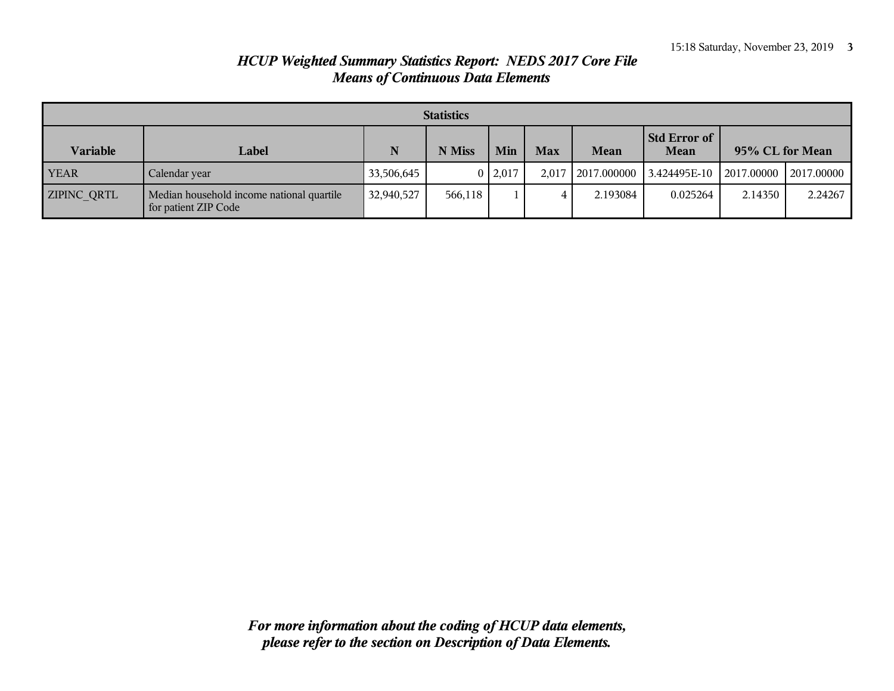#### *HCUP Weighted Summary Statistics Report: NEDS 2017 Core File Means of Continuous Data Elements*

| <b>Statistics</b>  |                                                                   |            |         |           |            |                     |                                    |                 |            |
|--------------------|-------------------------------------------------------------------|------------|---------|-----------|------------|---------------------|------------------------------------|-----------------|------------|
| <b>Variable</b>    | Label                                                             | N          | N Miss  | Min       | <b>Max</b> | Mean                | <b>Std Error of</b><br><b>Mean</b> | 95% CL for Mean |            |
| <b>YEAR</b>        | Calendar year                                                     | 33,506,645 |         | 0   2,017 |            | 2,017   2017.000000 | 3.424495E-10                       | 2017.00000      | 2017.00000 |
| <b>ZIPINC QRTL</b> | Median household income national quartile<br>for patient ZIP Code | 32,940,527 | 566,118 |           |            | 2.193084            | 0.025264                           | 2.14350         | 2.24267    |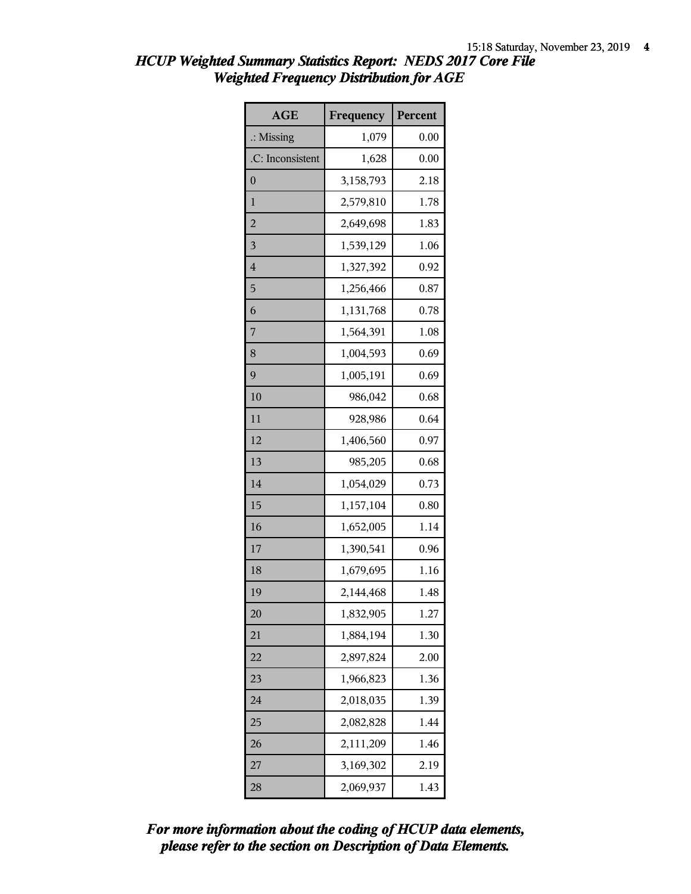| <b>AGE</b>           | Frequency | Percent |
|----------------------|-----------|---------|
| $\therefore$ Missing | 1,079     | 0.00    |
| .C: Inconsistent     | 1,628     | 0.00    |
| $\boldsymbol{0}$     | 3,158,793 | 2.18    |
| 1                    | 2,579,810 | 1.78    |
| $\overline{2}$       | 2,649,698 | 1.83    |
| 3                    | 1,539,129 | 1.06    |
| $\overline{4}$       | 1,327,392 | 0.92    |
| 5                    | 1,256,466 | 0.87    |
| 6                    | 1,131,768 | 0.78    |
| 7                    | 1,564,391 | 1.08    |
| 8                    | 1,004,593 | 0.69    |
| 9                    | 1,005,191 | 0.69    |
| 10                   | 986,042   | 0.68    |
| 11                   | 928,986   | 0.64    |
| 12                   | 1,406,560 | 0.97    |
| 13                   | 985,205   | 0.68    |
| 14                   | 1,054,029 | 0.73    |
| 15                   | 1,157,104 | 0.80    |
| 16                   | 1,652,005 | 1.14    |
| 17                   | 1,390,541 | 0.96    |
| 18                   | 1,679,695 | 1.16    |
| 19                   | 2,144,468 | 1.48    |
| 20                   | 1,832,905 | 1.27    |
| 21                   | 1,884,194 | 1.30    |
| 22                   | 2,897,824 | 2.00    |
| 23                   | 1,966,823 | 1.36    |
| 24                   | 2,018,035 | 1.39    |
| 25                   | 2,082,828 | 1.44    |
| 26                   | 2,111,209 | 1.46    |
| 27                   | 3,169,302 | 2.19    |
| 28                   | 2,069,937 | 1.43    |

# *HCUP Weighted Summary Statistics Report: NEDS 2017 Core File Weighted Frequency Distribution for AGE*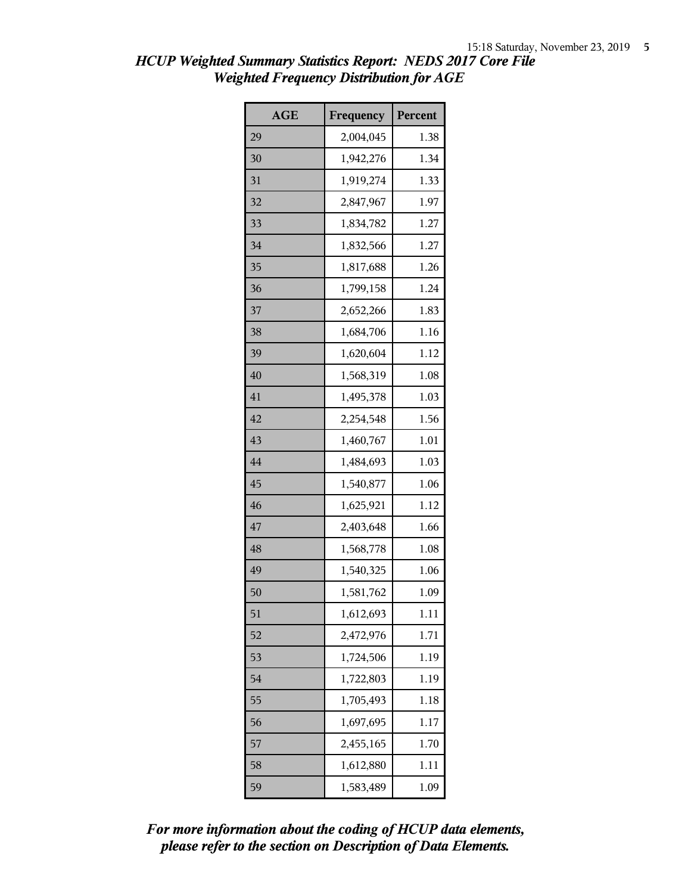| <b>AGE</b> | Frequency | Percent |
|------------|-----------|---------|
| 29         | 2,004,045 | 1.38    |
| 30         | 1,942,276 | 1.34    |
| 31         | 1,919,274 | 1.33    |
| 32         | 2,847,967 | 1.97    |
| 33         | 1,834,782 | 1.27    |
| 34         | 1,832,566 | 1.27    |
| 35         | 1,817,688 | 1.26    |
| 36         | 1,799,158 | 1.24    |
| 37         | 2,652,266 | 1.83    |
| 38         | 1,684,706 | 1.16    |
| 39         | 1,620,604 | 1.12    |
| 40         | 1,568,319 | 1.08    |
| 41         | 1,495,378 | 1.03    |
| 42         | 2,254,548 | 1.56    |
| 43         | 1,460,767 | 1.01    |
| 44         | 1,484,693 | 1.03    |
| 45         | 1,540,877 | 1.06    |
| 46         | 1,625,921 | 1.12    |
| 47         | 2,403,648 | 1.66    |
| 48         | 1,568,778 | 1.08    |
| 49         | 1,540,325 | 1.06    |
| 50         | 1,581,762 | 1.09    |
| 51         | 1,612,693 | 1.11    |
| 52         | 2,472,976 | 1.71    |
| 53         | 1,724,506 | 1.19    |
| 54         | 1,722,803 | 1.19    |
| 55         | 1,705,493 | 1.18    |
| 56         | 1,697,695 | 1.17    |
| 57         | 2,455,165 | 1.70    |
| 58         | 1,612,880 | 1.11    |
| 59         | 1,583,489 | 1.09    |

*HCUP Weighted Summary Statistics Report: NEDS 2017 Core File Weighted Frequency Distribution for AGE*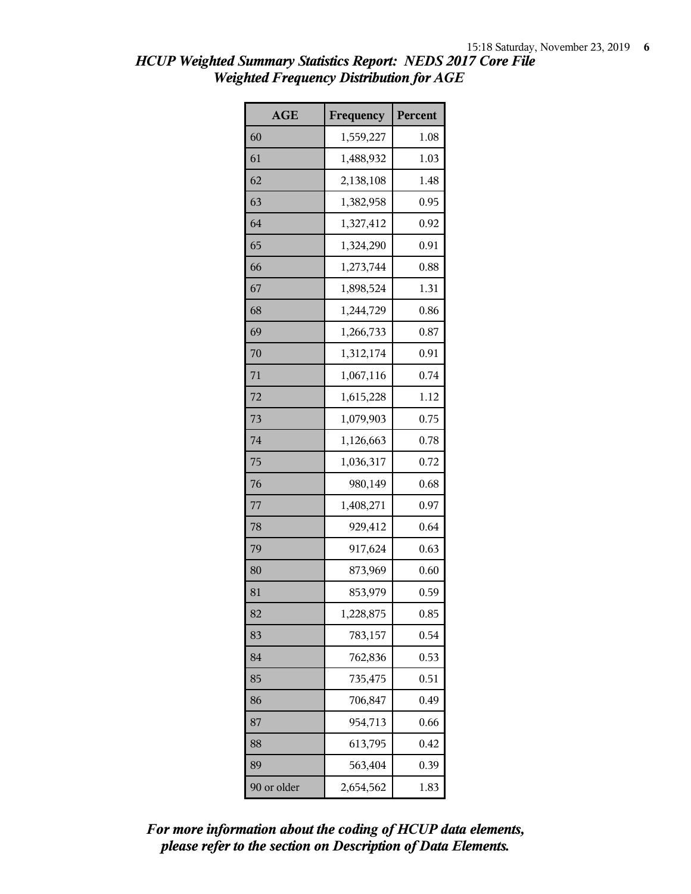| <b>AGE</b>  | Frequency | Percent |
|-------------|-----------|---------|
| 60          | 1,559,227 | 1.08    |
| 61          | 1,488,932 | 1.03    |
| 62          | 2,138,108 | 1.48    |
| 63          | 1,382,958 | 0.95    |
| 64          | 1,327,412 | 0.92    |
| 65          | 1,324,290 | 0.91    |
| 66          | 1,273,744 | 0.88    |
| 67          | 1,898,524 | 1.31    |
| 68          | 1,244,729 | 0.86    |
| 69          | 1,266,733 | 0.87    |
| 70          | 1,312,174 | 0.91    |
| 71          | 1,067,116 | 0.74    |
| 72          | 1,615,228 | 1.12    |
| 73          | 1,079,903 | 0.75    |
| 74          | 1,126,663 | 0.78    |
| 75          | 1,036,317 | 0.72    |
| 76          | 980,149   | 0.68    |
| 77          | 1,408,271 | 0.97    |
| 78          | 929,412   | 0.64    |
| 79          | 917,624   | 0.63    |
| 80          | 873,969   | 0.60    |
| 81          | 853,979   | 0.59    |
| 82          | 1,228,875 | 0.85    |
| 83          | 783,157   | 0.54    |
| 84          | 762,836   | 0.53    |
| 85          | 735,475   | 0.51    |
| 86          | 706,847   | 0.49    |
| 87          | 954,713   | 0.66    |
| 88          | 613,795   | 0.42    |
| 89          | 563,404   | 0.39    |
| 90 or older | 2,654,562 | 1.83    |

*HCUP Weighted Summary Statistics Report: NEDS 2017 Core File Weighted Frequency Distribution for AGE*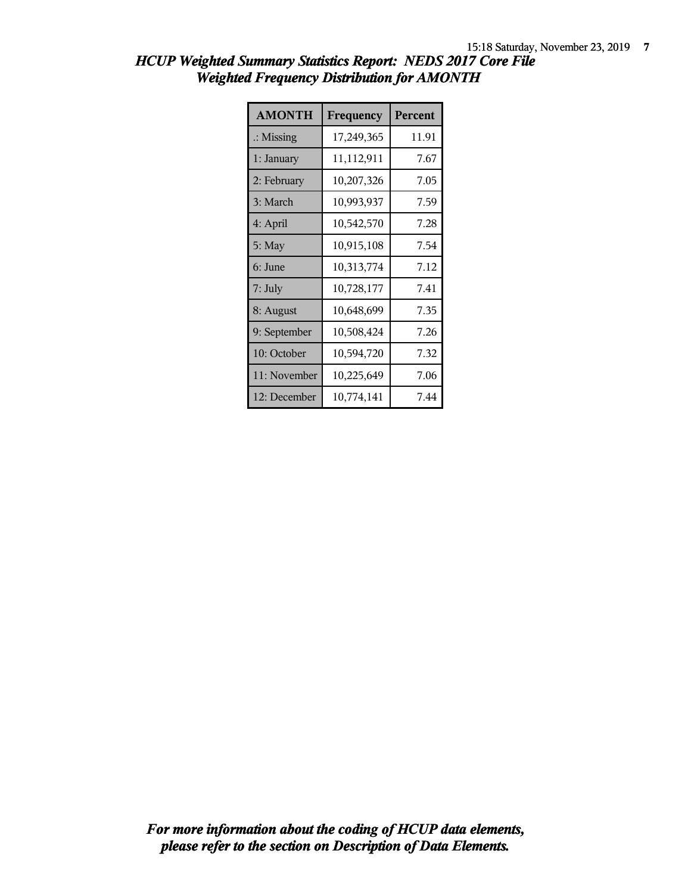| <b>AMONTH</b>        | Frequency  | Percent |
|----------------------|------------|---------|
| $\therefore$ Missing | 17,249,365 | 11.91   |
| 1: January           | 11,112,911 | 7.67    |
| 2: February          | 10,207,326 | 7.05    |
| 3: March             | 10,993,937 | 7.59    |
| 4: April             | 10,542,570 | 7.28    |
| 5: May               | 10,915,108 | 7.54    |
| 6: June              | 10,313,774 | 7.12    |
| $7:$ July            | 10,728,177 | 7.41    |
| 8: August            | 10,648,699 | 7.35    |
| 9: September         | 10,508,424 | 7.26    |
| 10: October          | 10,594,720 | 7.32    |
| 11: November         | 10,225,649 | 7.06    |
| 12: December         | 10,774,141 | 7.44    |

# *HCUP Weighted Summary Statistics Report: NEDS 2017 Core File Weighted Frequency Distribution for AMONTH*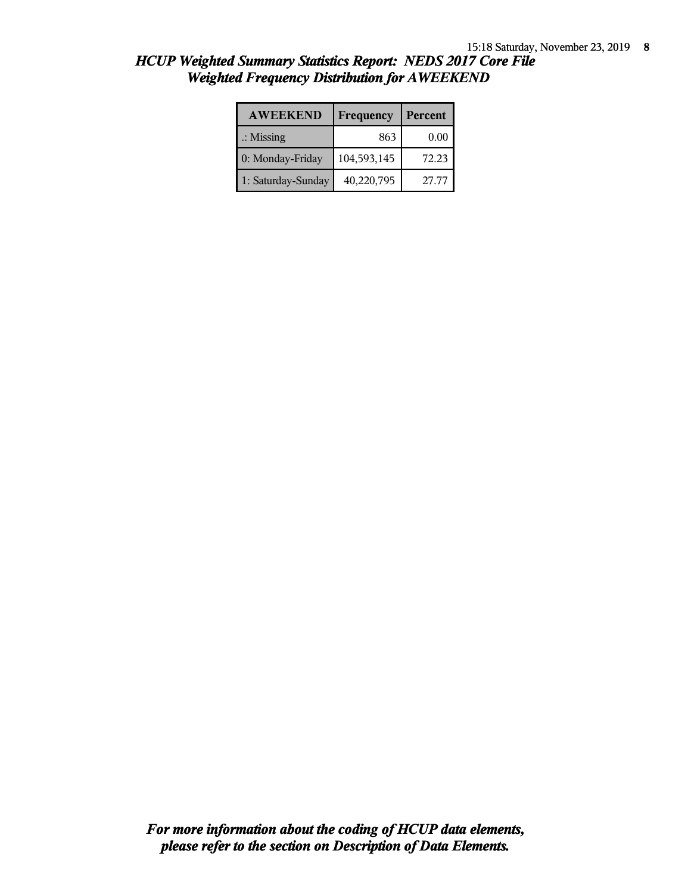| <b>AWEEKEND</b>      | Frequency   | Percent |
|----------------------|-------------|---------|
| $\therefore$ Missing | 863         | 0.00    |
| 0: Monday-Friday     | 104,593,145 | 72.23   |
| 1: Saturday-Sunday   | 40,220,795  | 27.77   |

#### *HCUP Weighted Summary Statistics Report: NEDS 2017 Core File Weighted Frequency Distribution for AWEEKEND*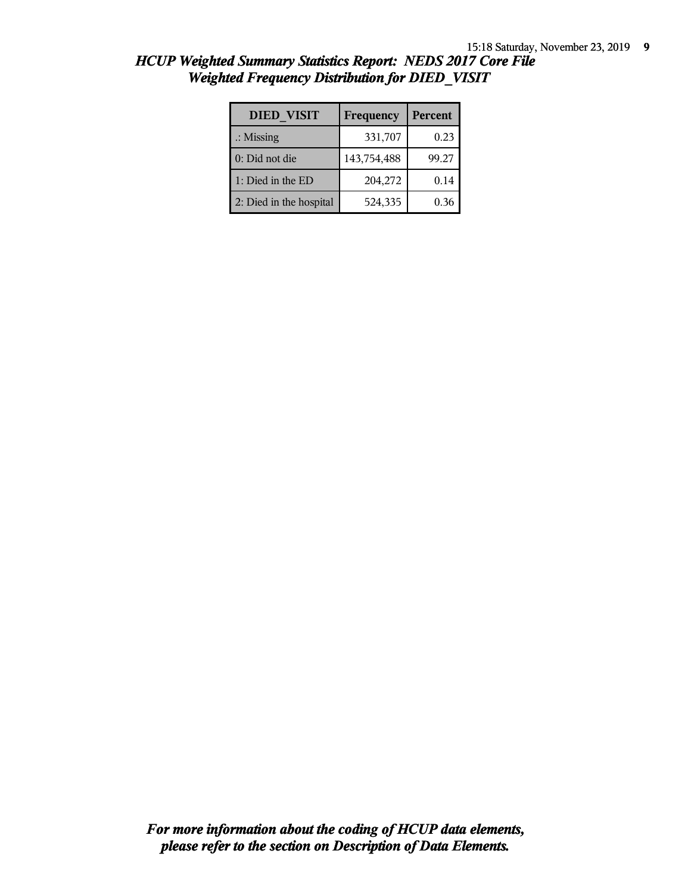| <b>DIED VISIT</b>       | Frequency   | <b>Percent</b> |
|-------------------------|-------------|----------------|
| $\therefore$ Missing    | 331,707     | 0.23           |
| 0: Did not die          | 143,754,488 | 99.27          |
| 1: Died in the ED       | 204,272     | 0.14           |
| 2: Died in the hospital | 524,335     | 0.36           |

## *HCUP Weighted Summary Statistics Report: NEDS 2017 Core File Weighted Frequency Distribution for DIED\_VISIT*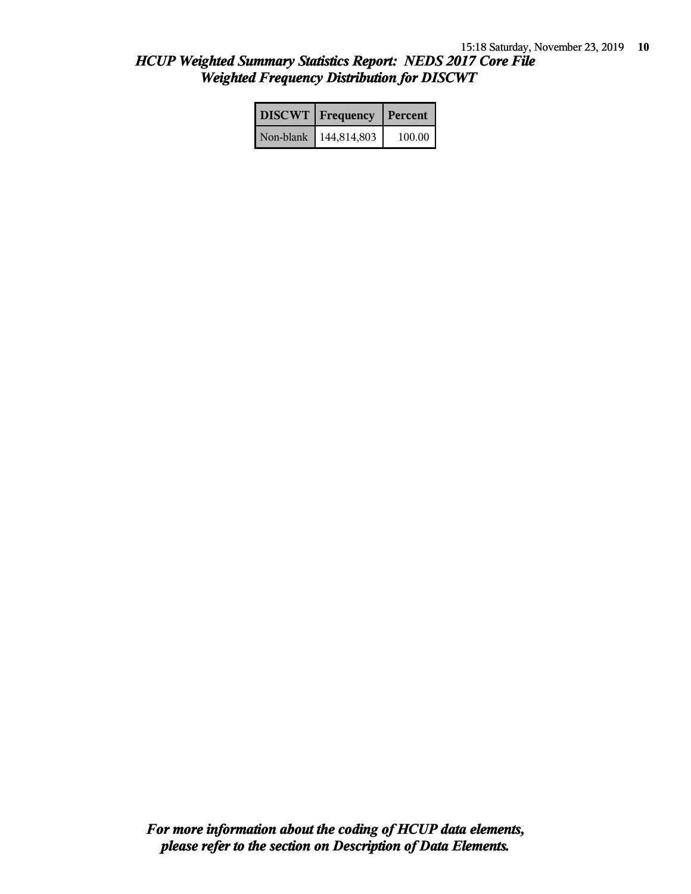#### *HCUP Weighted Summary Statistics Report: NEDS 2017 Core File Weighted Frequency Distribution for DISCWT*

| <b>DISCWT</b>   Frequency   Percent |        |
|-------------------------------------|--------|
| Non-blank   144,814,803             | 100.00 |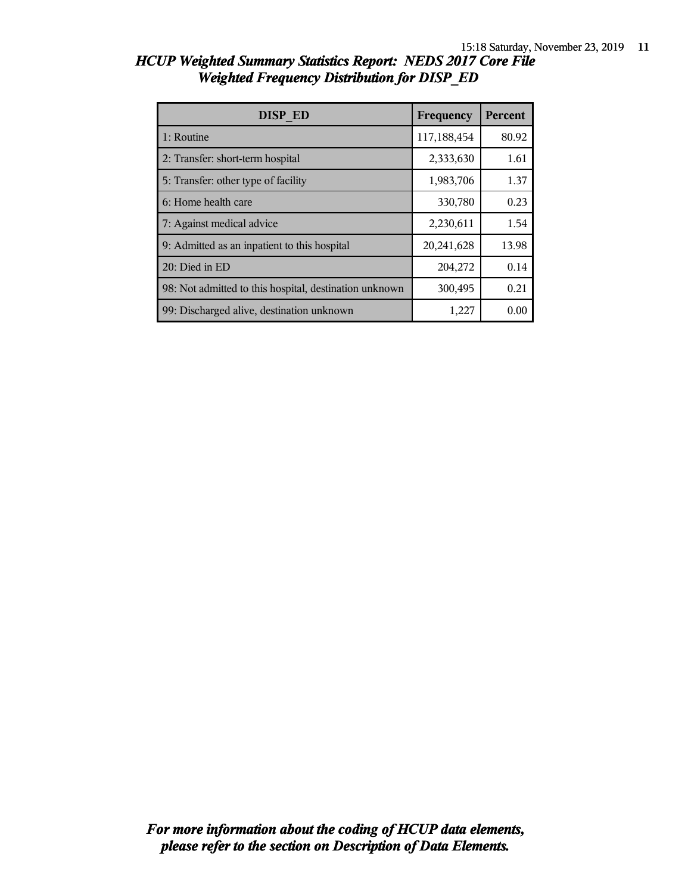| <b>DISP ED</b>                                         | Frequency   | Percent |
|--------------------------------------------------------|-------------|---------|
| 1: Routine                                             | 117,188,454 | 80.92   |
| 2: Transfer: short-term hospital                       | 2,333,630   | 1.61    |
| 5: Transfer: other type of facility                    | 1,983,706   | 1.37    |
| 6: Home health care                                    | 330,780     | 0.23    |
| 7: Against medical advice                              | 2,230,611   | 1.54    |
| 9: Admitted as an inpatient to this hospital           | 20,241,628  | 13.98   |
| 20: Died in ED                                         | 204,272     | 0.14    |
| 98: Not admitted to this hospital, destination unknown | 300,495     | 0.21    |
| 99: Discharged alive, destination unknown              | 1,227       | 0.00    |

# *HCUP Weighted Summary Statistics Report: NEDS 2017 Core File Weighted Frequency Distribution for DISP\_ED*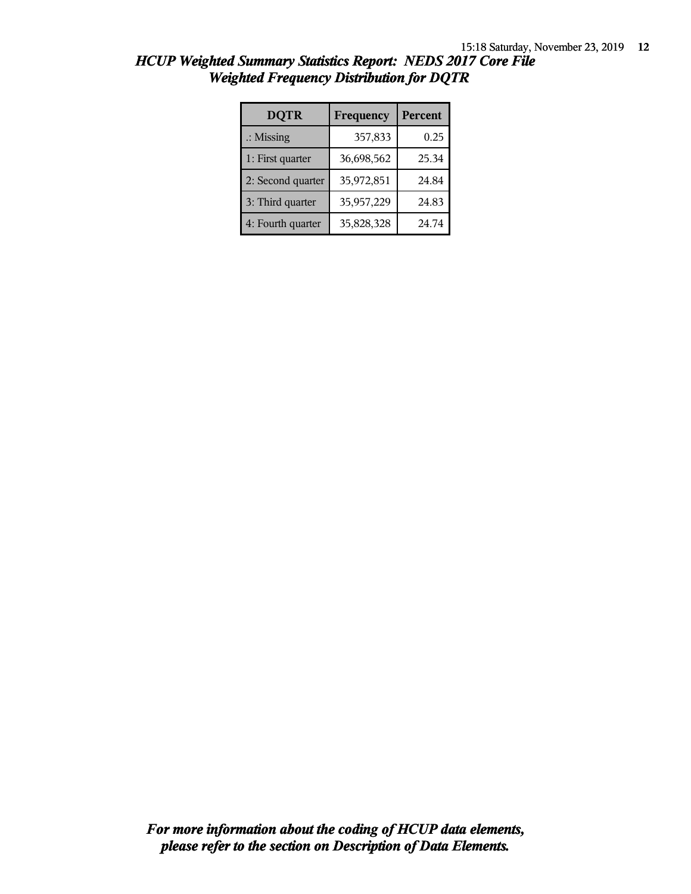| <b>DQTR</b>          | Frequency  | <b>Percent</b> |
|----------------------|------------|----------------|
| $\therefore$ Missing | 357,833    | 0.25           |
| 1: First quarter     | 36,698,562 | 25.34          |
| 2: Second quarter    | 35,972,851 | 24.84          |
| 3: Third quarter     | 35,957,229 | 24.83          |
| 4: Fourth quarter    | 35,828,328 | 24.74          |

# *HCUP Weighted Summary Statistics Report: NEDS 2017 Core File Weighted Frequency Distribution for DQTR*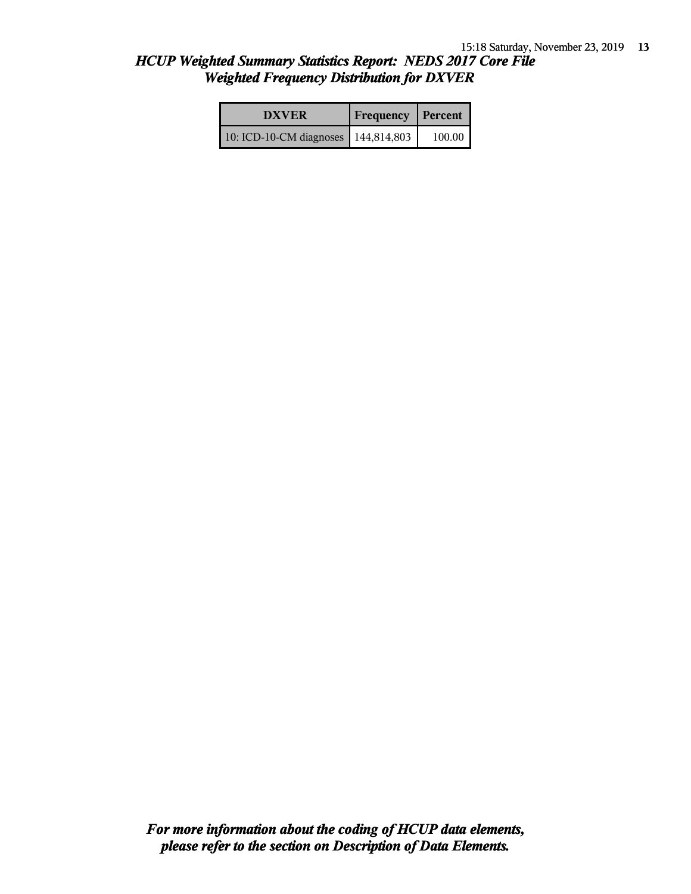# *HCUP Weighted Summary Statistics Report: NEDS 2017 Core File Weighted Frequency Distribution for DXVER*

| <b>DXVER</b>                        | <b>Frequency Percent</b> |        |
|-------------------------------------|--------------------------|--------|
| 10: ICD-10-CM diagnoses 144,814,803 |                          | 100.00 |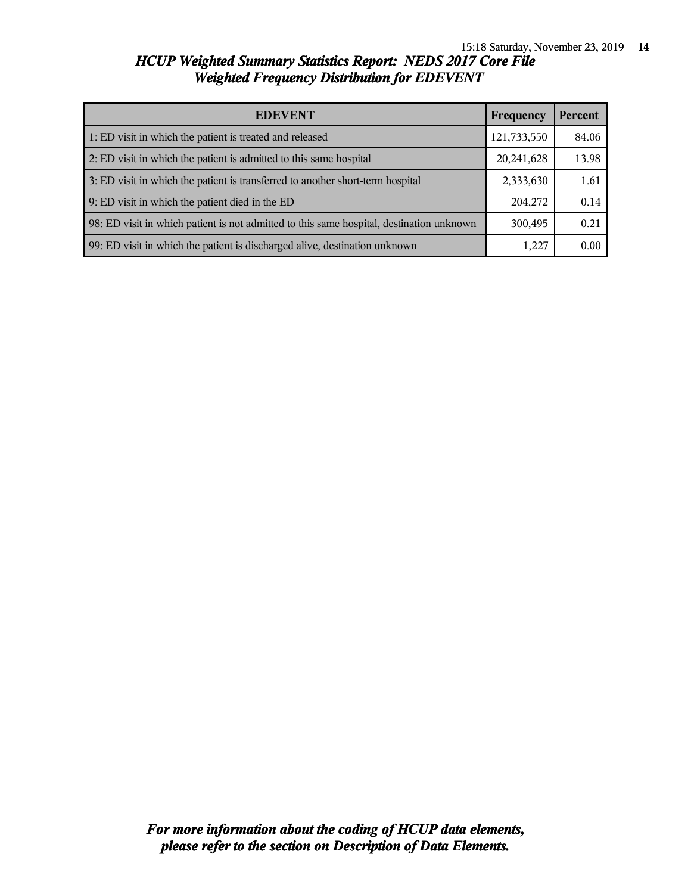## *HCUP Weighted Summary Statistics Report: NEDS 2017 Core File Weighted Frequency Distribution for EDEVENT*

| <b>EDEVENT</b>                                                                           | <b>Frequency</b> | Percent |
|------------------------------------------------------------------------------------------|------------------|---------|
| 1: ED visit in which the patient is treated and released                                 | 121,733,550      | 84.06   |
| 2: ED visit in which the patient is admitted to this same hospital                       | 20,241,628       | 13.98   |
| 3: ED visit in which the patient is transferred to another short-term hospital           | 2,333,630        | 1.61    |
| 9: ED visit in which the patient died in the ED                                          | 204,272          | 0.14    |
| 98: ED visit in which patient is not admitted to this same hospital, destination unknown | 300,495          | 0.21    |
| 99: ED visit in which the patient is discharged alive, destination unknown               | 1,227            | 0.00    |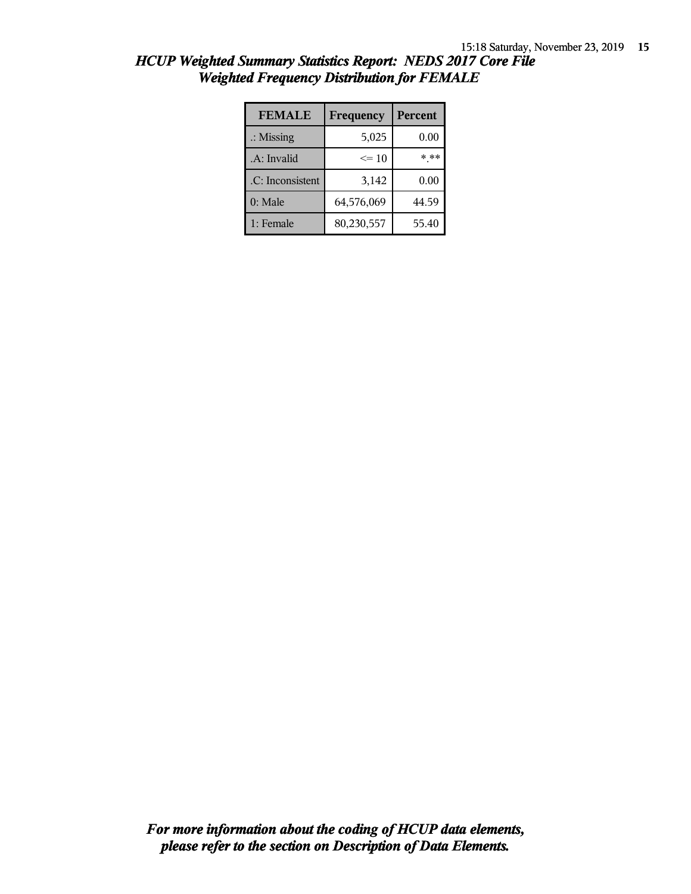| <b>FEMALE</b>        | Frequency  | Percent |
|----------------------|------------|---------|
| $\therefore$ Missing | 5,025      | 0.00    |
| .A: Invalid          | $\leq 10$  | * **    |
| .C: Inconsistent     | 3,142      | 0.00    |
| $0:$ Male            | 64,576,069 | 44.59   |
| 1: Female            | 80,230,557 | 55.40   |

#### *HCUP Weighted Summary Statistics Report: NEDS 2017 Core File Weighted Frequency Distribution for FEMALE*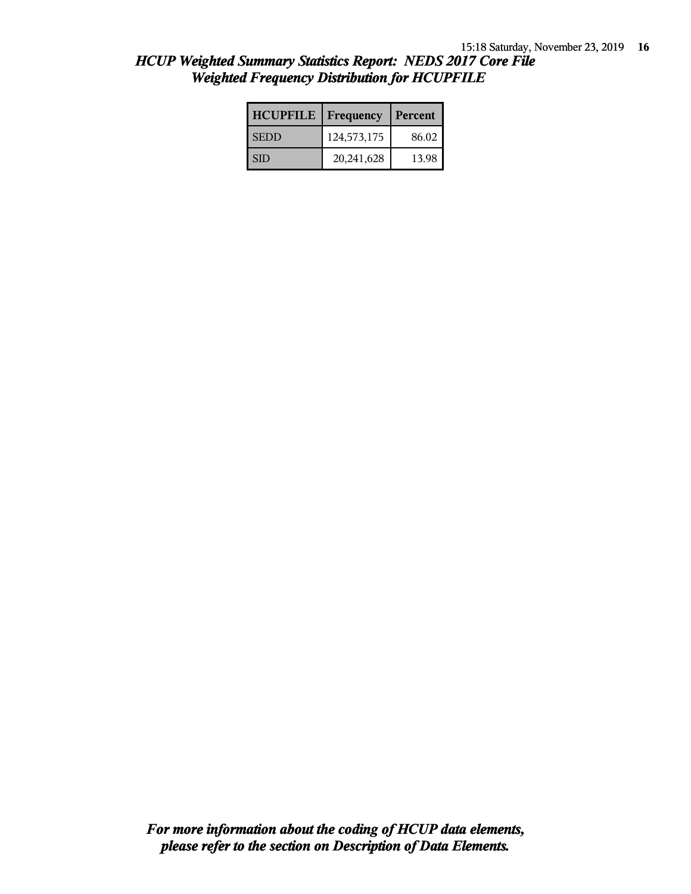| <b>HCUP Weighted Summary Statistics Report: NEDS 2017 Core File</b> |  |
|---------------------------------------------------------------------|--|
| <b>Weighted Frequency Distribution for HCUPFILE</b>                 |  |

| <b>HCUPFILE</b> | Frequency   | Percent |
|-----------------|-------------|---------|
| <b>SEDD</b>     | 124,573,175 | 86.02   |
| SID             | 20,241,628  | 13.98   |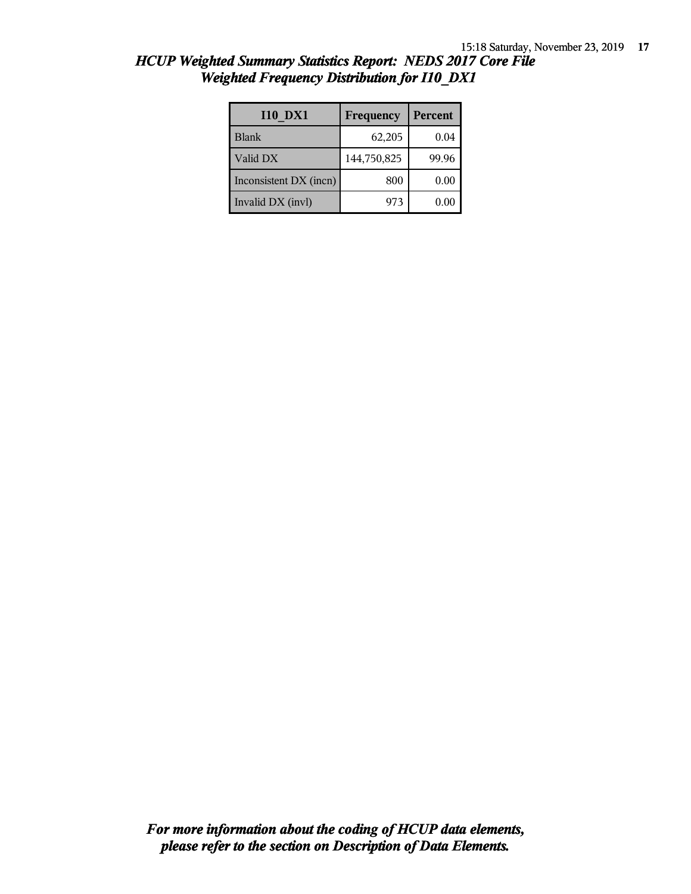| <b>I10 DX1</b><br>Frequency |             | Percent  |
|-----------------------------|-------------|----------|
| <b>Blank</b>                | 62,205      | 0.04     |
| Valid DX                    | 144,750,825 | 99.96    |
| Inconsistent DX (incn)      | 800         | 0.00     |
| Invalid DX (invl)           | 973         | $0.00\,$ |

# *HCUP Weighted Summary Statistics Report: NEDS 2017 Core File Weighted Frequency Distribution for I10\_DX1*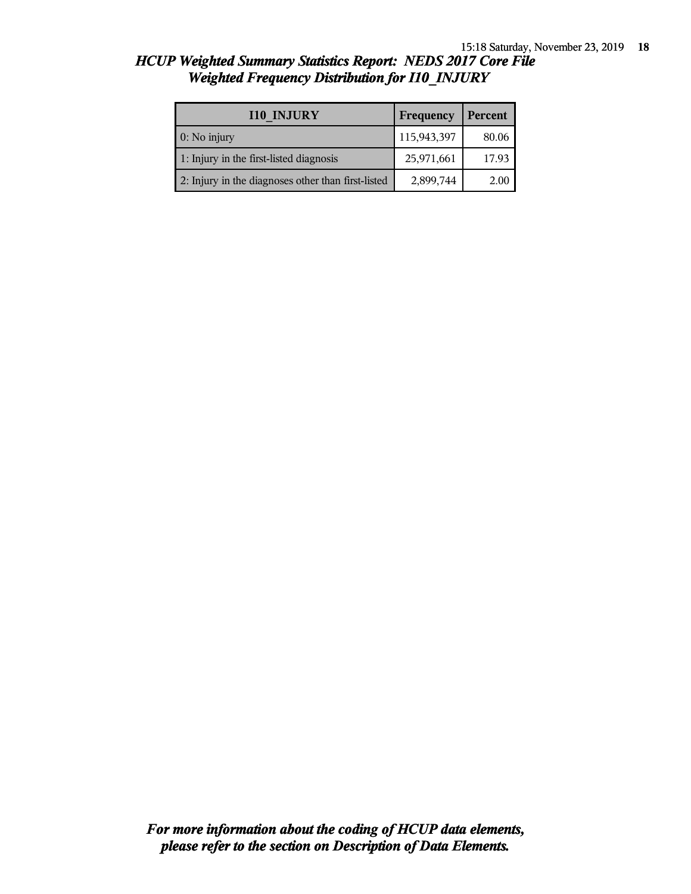# *HCUP Weighted Summary Statistics Report: NEDS 2017 Core File Weighted Frequency Distribution for I10\_INJURY*

| <b>I10 INJURY</b>                                  | Frequency   | Percent |
|----------------------------------------------------|-------------|---------|
| $0:$ No injury                                     | 115,943,397 | 80.06   |
| 1: Injury in the first-listed diagnosis            | 25,971,661  | 17.93   |
| 2: Injury in the diagnoses other than first-listed | 2,899,744   | 2.00    |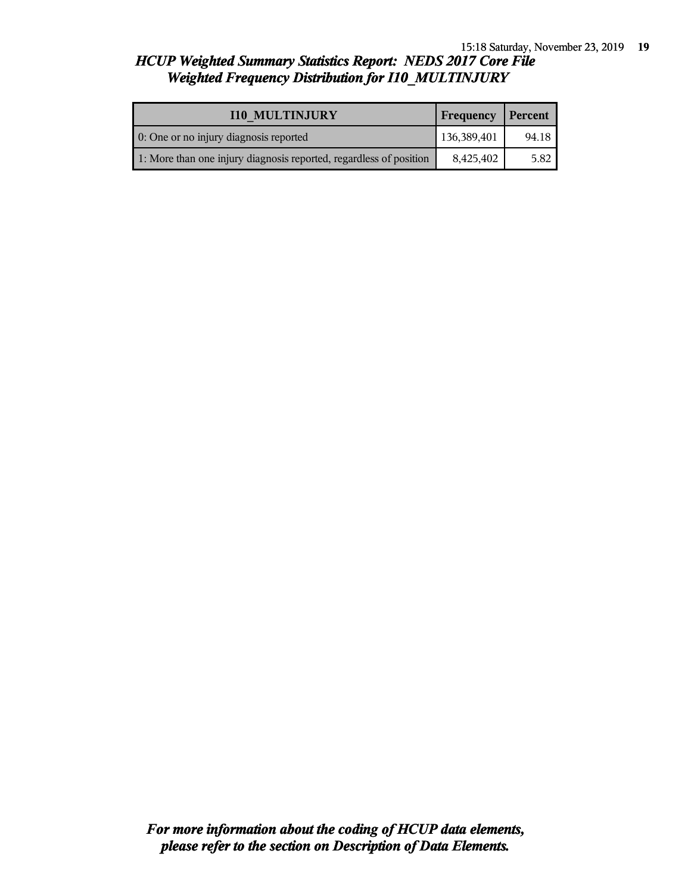# *HCUP Weighted Summary Statistics Report: NEDS 2017 Core File Weighted Frequency Distribution for I10\_MULTINJURY*

| <b>I10 MULTINJURY</b>                                              | Frequency   | Percent |
|--------------------------------------------------------------------|-------------|---------|
| 0: One or no injury diagnosis reported                             | 136,389,401 | 94.18   |
| 1: More than one injury diagnosis reported, regardless of position | 8,425,402   | 5.82    |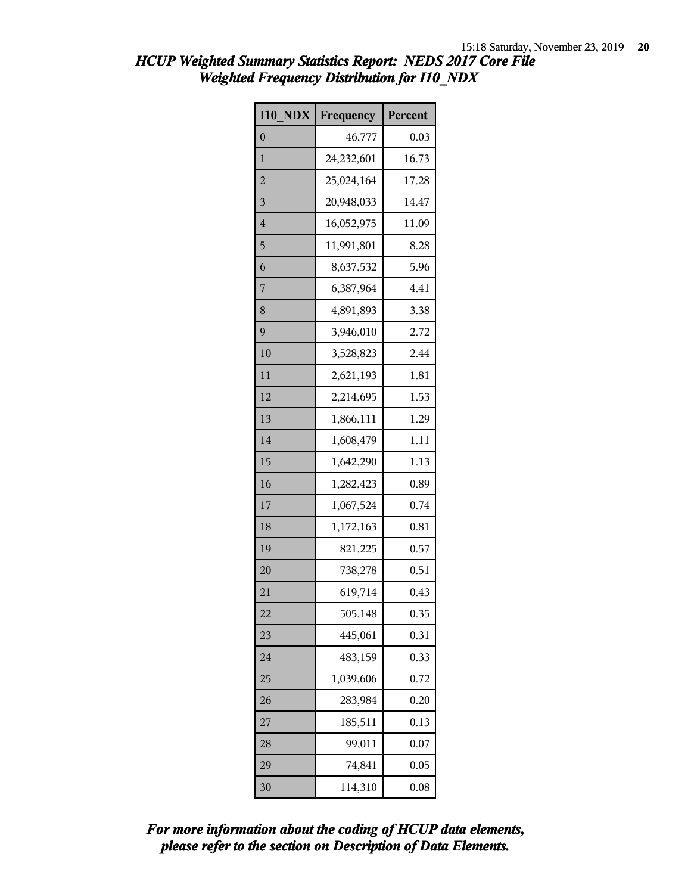# *HCUP Weighted Summary Statistics Report: NEDS 2017 Core File Weighted Frequency Distribution for I10\_NDX*

| <b>I10 NDX</b> | Frequency  | Percent |
|----------------|------------|---------|
| $\overline{0}$ | 46,777     | 0.03    |
| 1              | 24,232,601 | 16.73   |
| $\overline{2}$ | 25,024,164 | 17.28   |
| $\overline{3}$ | 20,948,033 | 14.47   |
| $\overline{4}$ | 16,052,975 | 11.09   |
| 5              | 11,991,801 | 8.28    |
| 6              | 8,637,532  | 5.96    |
| 7              | 6,387,964  | 4.41    |
| 8              | 4,891,893  | 3.38    |
| 9              | 3,946,010  | 2.72    |
| 10             | 3,528,823  | 2.44    |
| 11             | 2,621,193  | 1.81    |
| 12             | 2,214,695  | 1.53    |
| 13             | 1,866,111  | 1.29    |
| 14             | 1,608,479  | 1.11    |
| 15             | 1,642,290  | 1.13    |
| 16             | 1,282,423  | 0.89    |
| 17             | 1,067,524  | 0.74    |
| 18             | 1,172,163  | 0.81    |
| 19             | 821,225    | 0.57    |
| 20             | 738,278    | 0.51    |
| 21             | 619,714    | 0.43    |
| 22             | 505,148    | 0.35    |
| 23             | 445,061    | 0.31    |
| 24             | 483,159    | 0.33    |
| 25             | 1,039,606  | 0.72    |
| 26             | 283,984    | 0.20    |
| 27             | 185,511    | 0.13    |
| 28             | 99,011     | 0.07    |
| 29             | 74,841     | 0.05    |
| 30             | 114,310    | 0.08    |

*please refer to the section on Description of Data Elements. For more information about the coding of HCUP data elements,*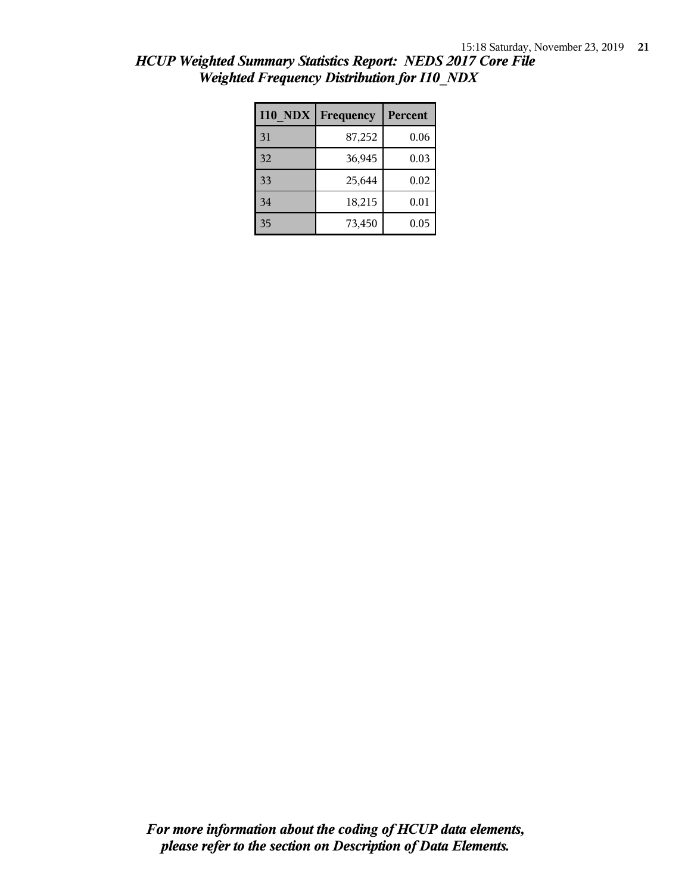| <b>I10 NDX</b> | Frequency | Percent |
|----------------|-----------|---------|
| 31             | 87,252    | 0.06    |
| 32             | 36,945    | 0.03    |
| 33             | 25,644    | 0.02    |
| 34             | 18,215    | 0.01    |
| 35             | 73,450    | 0.05    |

## *HCUP Weighted Summary Statistics Report: NEDS 2017 Core File Weighted Frequency Distribution for I10\_NDX*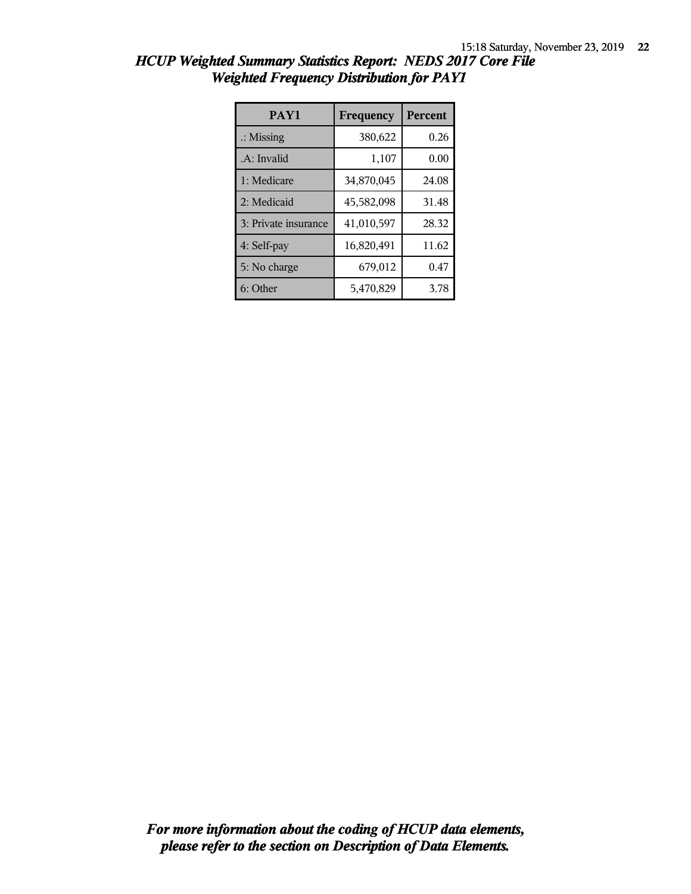| PAY1                 | Frequency  | <b>Percent</b> |
|----------------------|------------|----------------|
| $\therefore$ Missing | 380,622    | 0.26           |
| .A: Invalid          | 1,107      | 0.00           |
| 1: Medicare          | 34,870,045 | 24.08          |
| 2: Medicaid          | 45,582,098 | 31.48          |
| 3: Private insurance | 41,010,597 | 28.32          |
| 4: Self-pay          | 16,820,491 | 11.62          |
| 5: No charge         | 679,012    | 0.47           |
| 6: Other             | 5,470,829  | 3.78           |

| <b>HCUP Weighted Summary Statistics Report: NEDS 2017 Core File</b> |  |
|---------------------------------------------------------------------|--|
| <b>Weighted Frequency Distribution for PAY1</b>                     |  |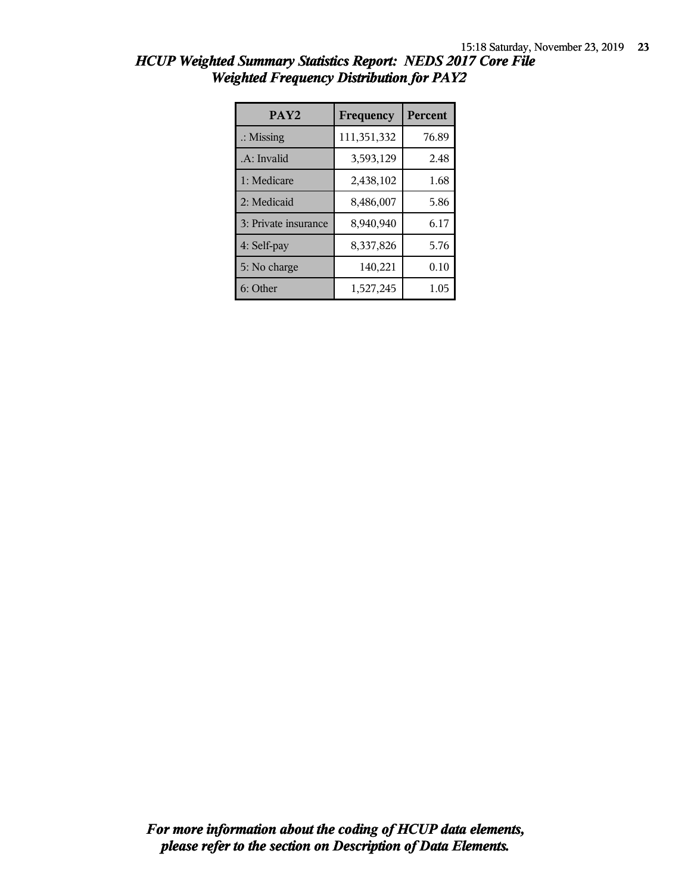| PAY <sub>2</sub>     | Frequency   | <b>Percent</b> |
|----------------------|-------------|----------------|
| $\therefore$ Missing | 111,351,332 | 76.89          |
| .A: Invalid          | 3,593,129   | 2.48           |
| 1: Medicare          | 2,438,102   | 1.68           |
| 2: Medicaid          | 8,486,007   | 5.86           |
| 3: Private insurance | 8,940,940   | 6.17           |
| 4: Self-pay          | 8,337,826   | 5.76           |
| 5: No charge         | 140,221     | 0.10           |
| 6: Other             | 1,527,245   | 1.05           |

# *HCUP Weighted Summary Statistics Report: NEDS 2017 Core File Weighted Frequency Distribution for PAY2*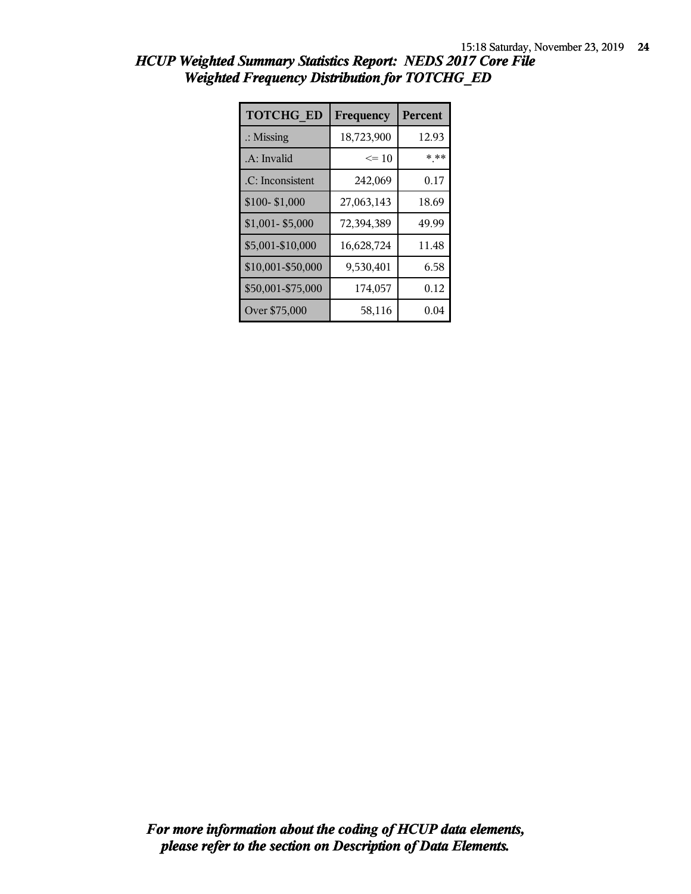| <b>TOTCHG ED</b>     | Frequency  | <b>Percent</b> |
|----------------------|------------|----------------|
| $\therefore$ Missing | 18,723,900 | 12.93          |
| .A: Invalid          | $\leq 10$  | * **           |
| .C: Inconsistent     | 242,069    | 0.17           |
| \$100-\$1,000        | 27,063,143 | 18.69          |
| \$1,001-\$5,000      | 72,394,389 | 49.99          |
| \$5,001-\$10,000     | 16,628,724 | 11.48          |
| \$10,001-\$50,000    | 9,530,401  | 6.58           |
| \$50,001-\$75,000    | 174,057    | 0.12           |
| Over \$75,000        | 58,116     | 0.04           |

*HCUP Weighted Summary Statistics Report: NEDS 2017 Core File Weighted Frequency Distribution for TOTCHG\_ED*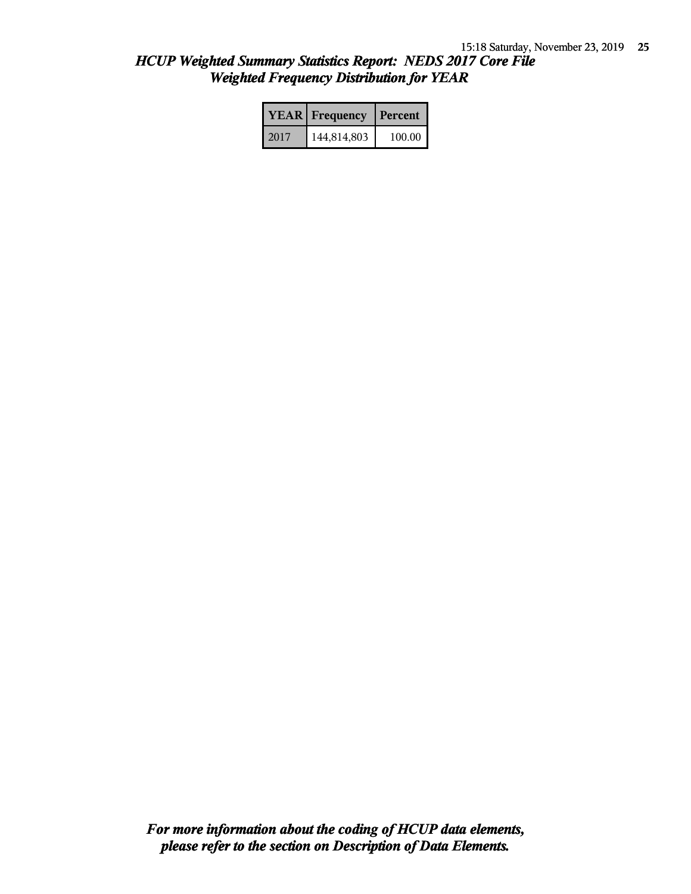#### *HCUP Weighted Summary Statistics Report: NEDS 2017 Core File Weighted Frequency Distribution for YEAR*

|      | <b>YEAR</b> Frequency | Percent |
|------|-----------------------|---------|
| 2017 | 144,814,803           | 100.00  |